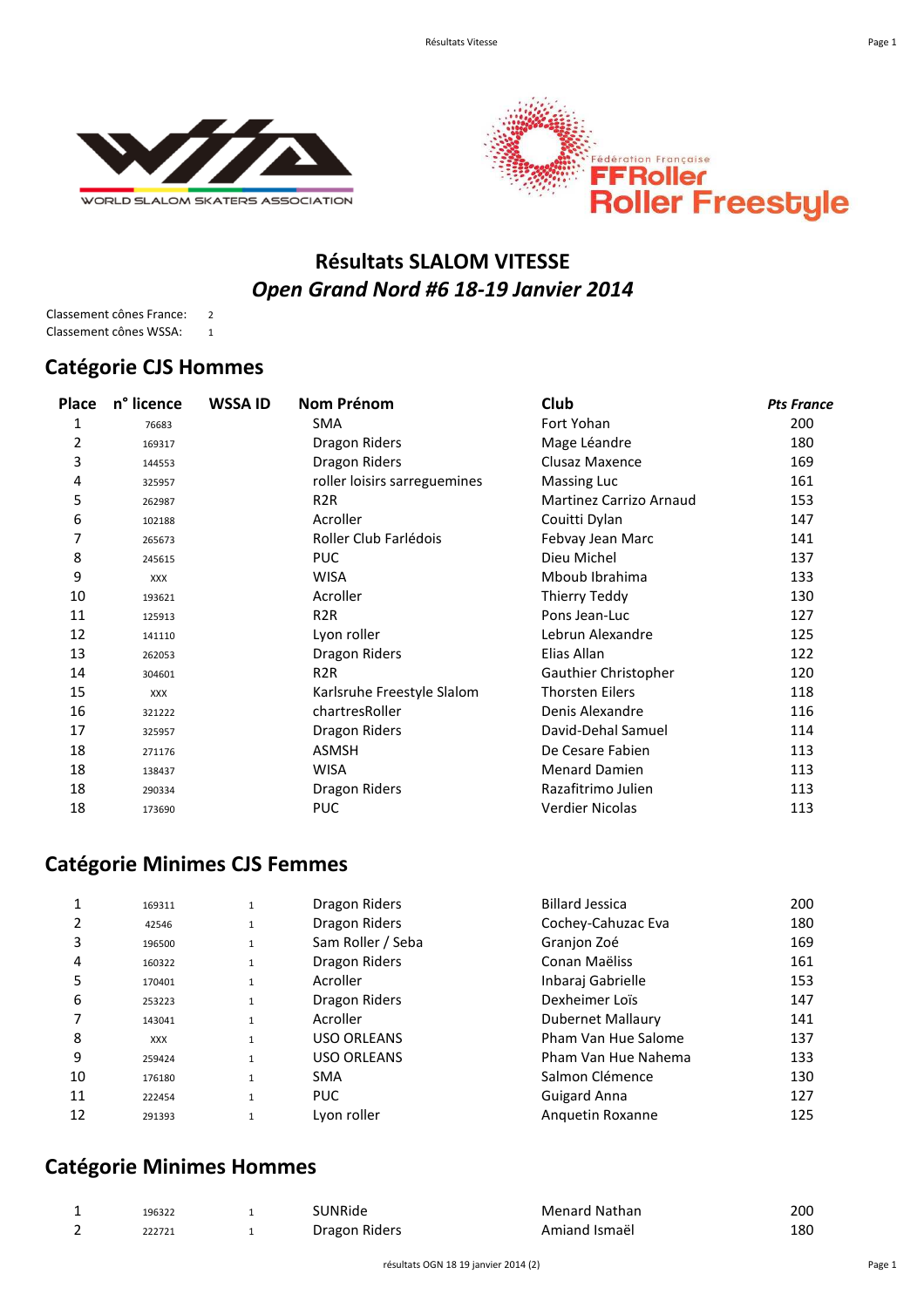



## **Résultats SLALOM VITESSE** *Open Grand Nord #6 18-19 Janvier 2014*

Classement cônes France: 2 Classement cônes WSSA: 1

#### **Catégorie CJS Hommes**

| Place | n° licence | <b>WSSA ID</b> | Nom Prénom                   | Club                    | <b>Pts France</b> |
|-------|------------|----------------|------------------------------|-------------------------|-------------------|
| 1     | 76683      |                | <b>SMA</b>                   | Fort Yohan              | 200               |
| 2     | 169317     |                | Dragon Riders                | Mage Léandre            | 180               |
| 3     | 144553     |                | Dragon Riders                | Clusaz Maxence          | 169               |
| 4     | 325957     |                | roller loisirs sarreguemines | <b>Massing Luc</b>      | 161               |
| 5     | 262987     |                | R <sub>2</sub> R             | Martinez Carrizo Arnaud | 153               |
| 6     | 102188     |                | Acroller                     | Couitti Dylan           | 147               |
| 7     | 265673     |                | Roller Club Farlédois        | Febvay Jean Marc        | 141               |
| 8     | 245615     |                | <b>PUC</b>                   | Dieu Michel             | 137               |
| 9     | XXX        |                | <b>WISA</b>                  | Mboub Ibrahima          | 133               |
| 10    | 193621     |                | Acroller                     | Thierry Teddy           | 130               |
| 11    | 125913     |                | R <sub>2</sub> R             | Pons Jean-Luc           | 127               |
| 12    | 141110     |                | Lyon roller                  | Lebrun Alexandre        | 125               |
| 13    | 262053     |                | Dragon Riders                | Elias Allan             | 122               |
| 14    | 304601     |                | R <sub>2</sub> R             | Gauthier Christopher    | 120               |
| 15    | <b>XXX</b> |                | Karlsruhe Freestyle Slalom   | <b>Thorsten Eilers</b>  | 118               |
| 16    | 321222     |                | chartresRoller               | Denis Alexandre         | 116               |
| 17    | 325957     |                | Dragon Riders                | David-Dehal Samuel      | 114               |
| 18    | 271176     |                | <b>ASMSH</b>                 | De Cesare Fabien        | 113               |
| 18    | 138437     |                | <b>WISA</b>                  | <b>Menard Damien</b>    | 113               |
| 18    | 290334     |                | Dragon Riders                | Razafitrimo Julien      | 113               |
| 18    | 173690     |                | <b>PUC</b>                   | Verdier Nicolas         | 113               |

## **Catégorie Minimes CJS Femmes**

| 180<br>169 |
|------------|
|            |
|            |
| 161        |
| 153        |
| 147        |
| 141        |
| 137        |
| 133        |
| 130        |
| 127        |
| 125        |
|            |

## **Catégorie Minimes Hommes**

| 196322 | SUNRide       | <b>Menard Nathan</b> | 200 |
|--------|---------------|----------------------|-----|
| 222721 | Dragon Riders | Amiand Ismaël        | 180 |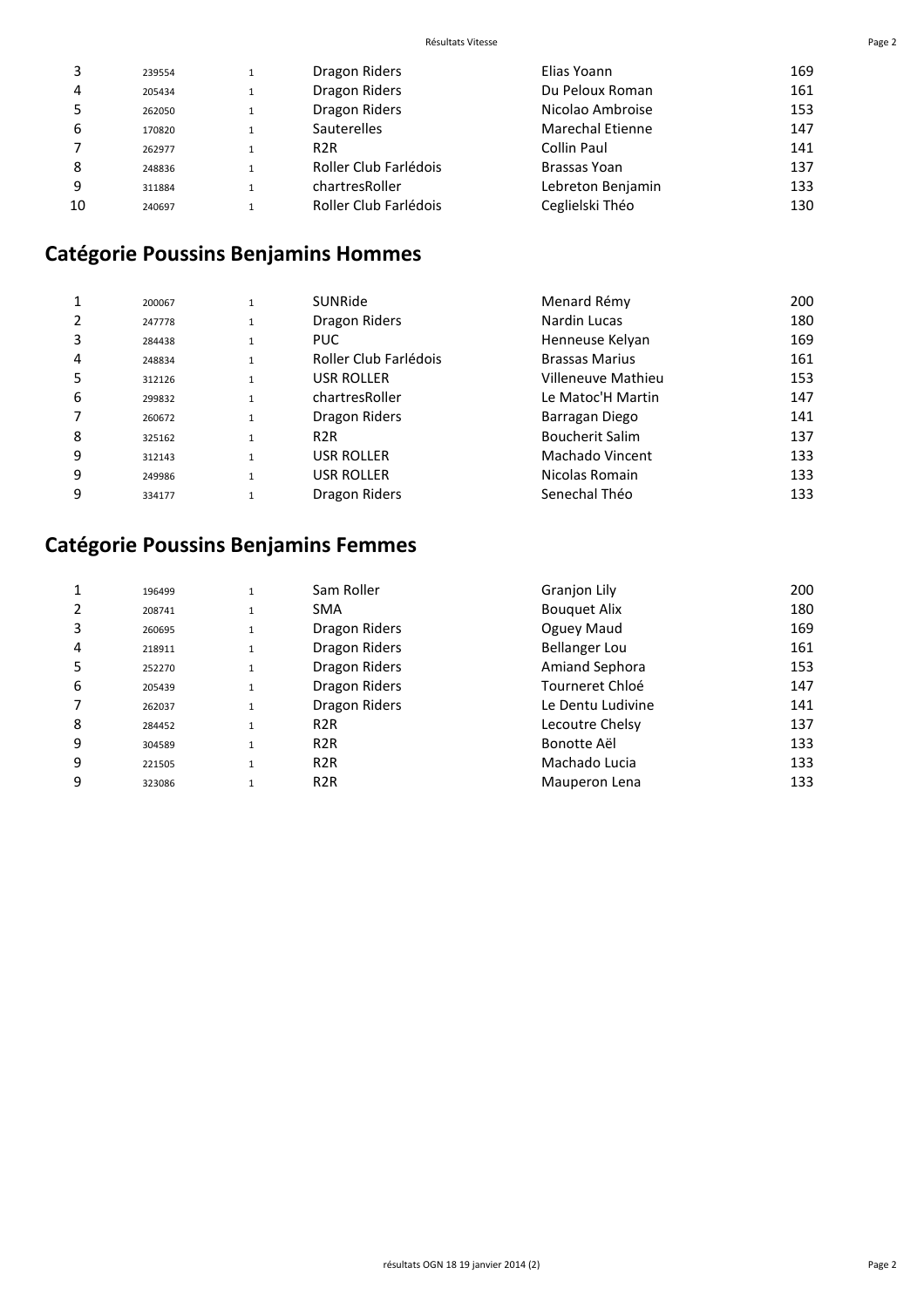| 169 |
|-----|
| 161 |
| 153 |
| 147 |
| 141 |
| 137 |
| 133 |
| 130 |
|     |

# **Catégorie Poussins Benjamins Hommes**

|   | 200067 |              | <b>SUNRide</b>        | Menard Rémy            | 200 |
|---|--------|--------------|-----------------------|------------------------|-----|
|   | 247778 |              | Dragon Riders         | Nardin Lucas           | 180 |
| 3 | 284438 |              | PUC.                  | Henneuse Kelyan        | 169 |
| 4 | 248834 |              | Roller Club Farlédois | <b>Brassas Marius</b>  | 161 |
| 5 | 312126 | $\mathbf{1}$ | <b>USR ROLLER</b>     | Villeneuve Mathieu     | 153 |
| 6 | 299832 |              | chartresRoller        | Le Matoc'H Martin      | 147 |
|   | 260672 | $\mathbf{1}$ | Dragon Riders         | Barragan Diego         | 141 |
| 8 | 325162 |              | R <sub>2</sub> R      | <b>Boucherit Salim</b> | 137 |
| 9 | 312143 |              | USR ROLLER            | Machado Vincent        | 133 |
| 9 | 249986 | 1            | <b>USR ROLLER</b>     | Nicolas Romain         | 133 |
| 9 | 334177 |              | Dragon Riders         | Senechal Théo          | 133 |

# **Catégorie Poussins Benjamins Femmes**

|   | 196499 | $\mathbf{1}$ | Sam Roller       | Granjon Lily          | 200 |
|---|--------|--------------|------------------|-----------------------|-----|
|   | 208741 | 1            | <b>SMA</b>       | <b>Bouguet Alix</b>   | 180 |
| 3 | 260695 | $\mathbf{1}$ | Dragon Riders    | Oguey Maud            | 169 |
| 4 | 218911 | $\mathbf{1}$ | Dragon Riders    | <b>Bellanger Lou</b>  | 161 |
| 5 | 252270 | $1\,$        | Dragon Riders    | <b>Amiand Sephora</b> | 153 |
| 6 | 205439 | $\mathbf{1}$ | Dragon Riders    | Tourneret Chloé       | 147 |
|   | 262037 | $\mathbf{1}$ | Dragon Riders    | Le Dentu Ludivine     | 141 |
| 8 | 284452 | $\mathbf{1}$ | R <sub>2</sub> R | Lecoutre Chelsy       | 137 |
| 9 | 304589 | $\mathbf{1}$ | R <sub>2</sub> R | Bonotte Aël           | 133 |
| 9 | 221505 | $\mathbf{1}$ | R <sub>2</sub> R | Machado Lucia         | 133 |
| 9 | 323086 | $\mathbf{1}$ | R <sub>2</sub> R | Mauperon Lena         | 133 |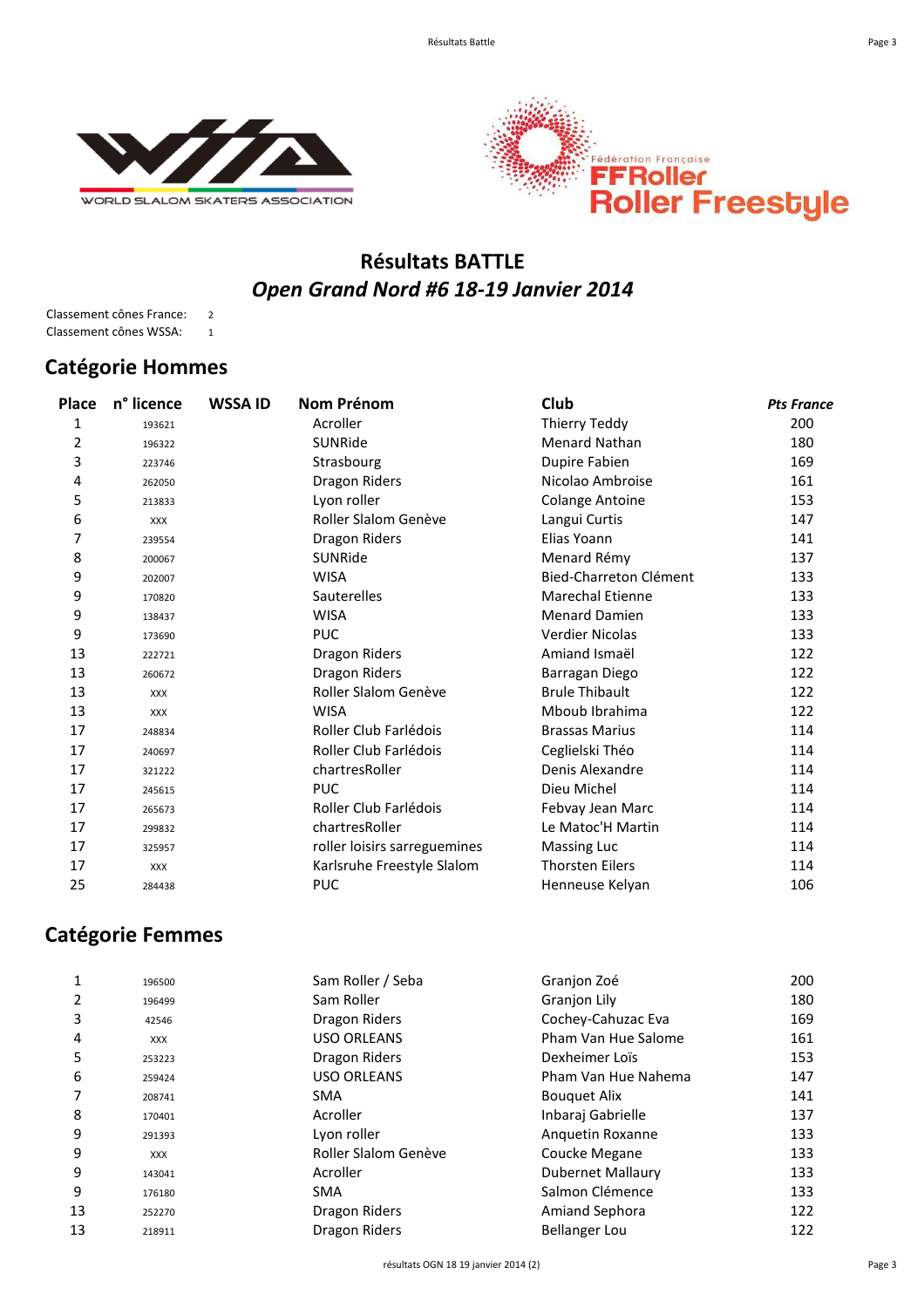



## **Résultats BATTLE** *Open Grand Nord #6 18-19 Janvier 2014*

Classement cônes France: 2 Classement cônes WSSA: 1

## **Catégorie Hommes**

| Place | n° licence | <b>WSSA ID</b> | <b>Nom Prénom</b>            | Club                    | <b>Pts France</b> |
|-------|------------|----------------|------------------------------|-------------------------|-------------------|
| 1     | 193621     |                | Acroller                     | Thierry Teddy           | 200               |
| 2     | 196322     |                | SUNRide                      | <b>Menard Nathan</b>    | 180               |
| 3     | 223746     |                | Strasbourg                   | Dupire Fabien           | 169               |
| 4     | 262050     |                | Dragon Riders                | Nicolao Ambroise        | 161               |
| 5     | 213833     |                | Lyon roller                  | <b>Colange Antoine</b>  | 153               |
| 6     | <b>XXX</b> |                | Roller Slalom Genève         | Langui Curtis           | 147               |
| 7     | 239554     |                | Dragon Riders                | Elias Yoann             | 141               |
| 8     | 200067     |                | SUNRide                      | Menard Rémy             | 137               |
| 9     | 202007     |                | <b>WISA</b>                  | Bied-Charreton Clément  | 133               |
| 9     | 170820     |                | <b>Sauterelles</b>           | <b>Marechal Etienne</b> | 133               |
| 9     | 138437     |                | <b>WISA</b>                  | <b>Menard Damien</b>    | 133               |
| 9     | 173690     |                | <b>PUC</b>                   | <b>Verdier Nicolas</b>  | 133               |
| 13    | 222721     |                | Dragon Riders                | Amiand Ismaël           | 122               |
| 13    | 260672     |                | Dragon Riders                | Barragan Diego          | 122               |
| 13    | XXX        |                | Roller Slalom Genève         | <b>Brule Thibault</b>   | 122               |
| 13    | <b>XXX</b> |                | <b>WISA</b>                  | Mboub Ibrahima          | 122               |
| 17    | 248834     |                | Roller Club Farlédois        | <b>Brassas Marius</b>   | 114               |
| 17    | 240697     |                | Roller Club Farlédois        | Ceglielski Théo         | 114               |
| 17    | 321222     |                | chartresRoller               | Denis Alexandre         | 114               |
| 17    | 245615     |                | <b>PUC</b>                   | Dieu Michel             | 114               |
| 17    | 265673     |                | Roller Club Farlédois        | Febvay Jean Marc        | 114               |
| 17    | 299832     |                | chartresRoller               | Le Matoc'H Martin       | 114               |
| 17    | 325957     |                | roller loisirs sarreguemines | <b>Massing Luc</b>      | 114               |
| 17    | <b>XXX</b> |                | Karlsruhe Freestyle Slalom   | <b>Thorsten Eilers</b>  | 114               |
| 25    | 284438     |                | <b>PUC</b>                   | Henneuse Kelyan         | 106               |
|       |            |                |                              |                         |                   |

## **Catégorie Femmes**

|    | 196500     | Sam Roller / Seba    | Granjon Zoé           | 200 |
|----|------------|----------------------|-----------------------|-----|
|    | 196499     | Sam Roller           | <b>Granjon Lily</b>   | 180 |
| 3  | 42546      | Dragon Riders        | Cochey-Cahuzac Eva    | 169 |
| 4  | <b>XXX</b> | <b>USO ORLEANS</b>   | Pham Van Hue Salome   | 161 |
| 5  | 253223     | Dragon Riders        | Dexheimer Loïs        | 153 |
| 6  | 259424     | <b>USO ORLEANS</b>   | Pham Van Hue Nahema   | 147 |
|    | 208741     | <b>SMA</b>           | <b>Bouquet Alix</b>   | 141 |
| 8  | 170401     | Acroller             | Inbaraj Gabrielle     | 137 |
| 9  | 291393     | Lyon roller          | Anguetin Roxanne      | 133 |
| 9  | <b>XXX</b> | Roller Slalom Genève | Coucke Megane         | 133 |
| 9  | 143041     | Acroller             | Dubernet Mallaury     | 133 |
| 9  | 176180     | <b>SMA</b>           | Salmon Clémence       | 133 |
| 13 | 252270     | Dragon Riders        | <b>Amiand Sephora</b> | 122 |
| 13 | 218911     | Dragon Riders        | <b>Bellanger Lou</b>  | 122 |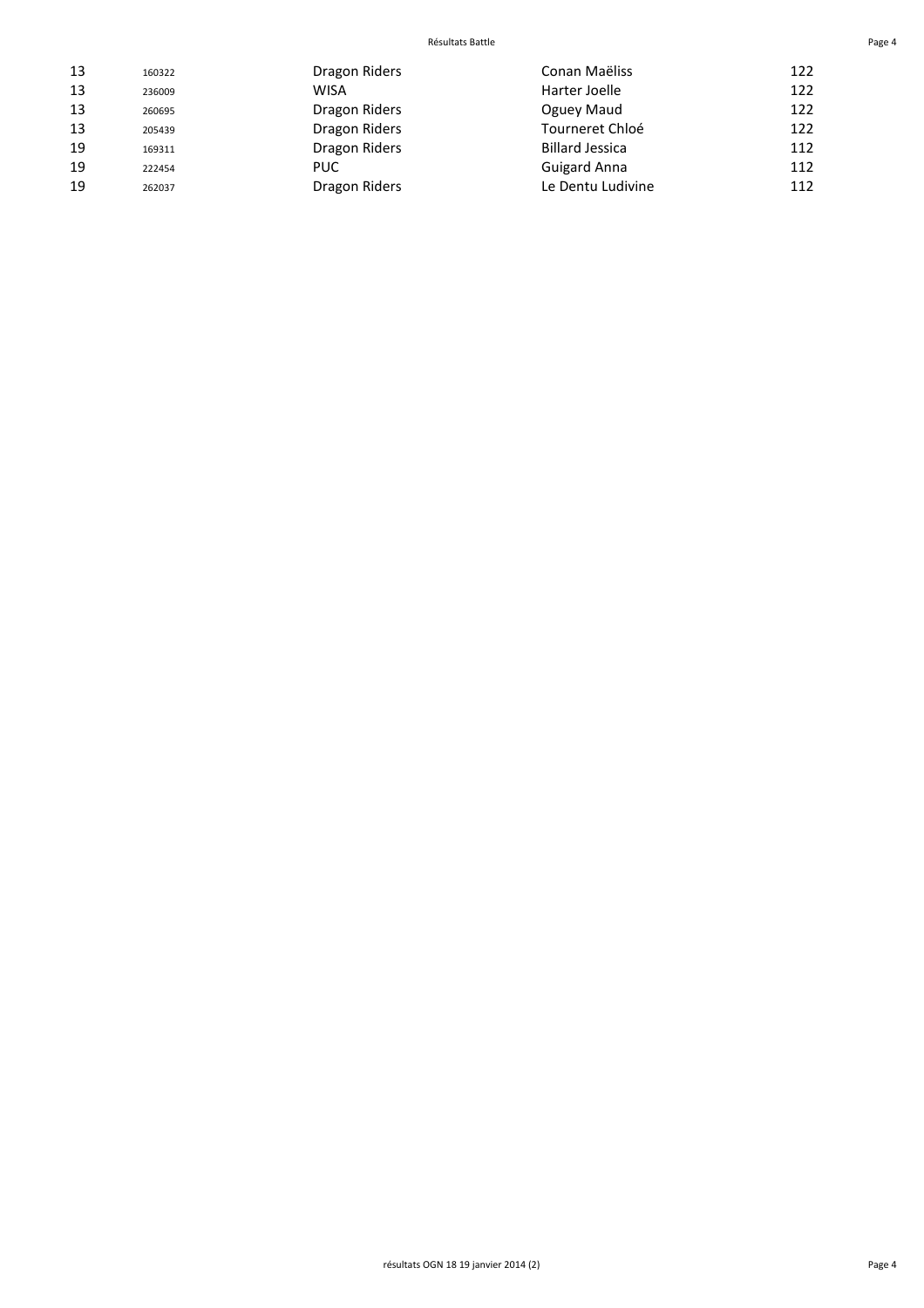#### Résultats Battle **Page 4**

| 13 | 160322 | Dragon Riders | Conan Maëliss          | 122 |
|----|--------|---------------|------------------------|-----|
| 13 | 236009 | WISA          | Harter Joelle          | 122 |
| 13 | 260695 | Dragon Riders | Oguey Maud             | 122 |
| 13 | 205439 | Dragon Riders | Tourneret Chloé        | 122 |
| 19 | 169311 | Dragon Riders | <b>Billard Jessica</b> | 112 |
| 19 | 222454 | <b>PUC</b>    | <b>Guigard Anna</b>    | 112 |
| 19 | 262037 | Dragon Riders | Le Dentu Ludivine      | 112 |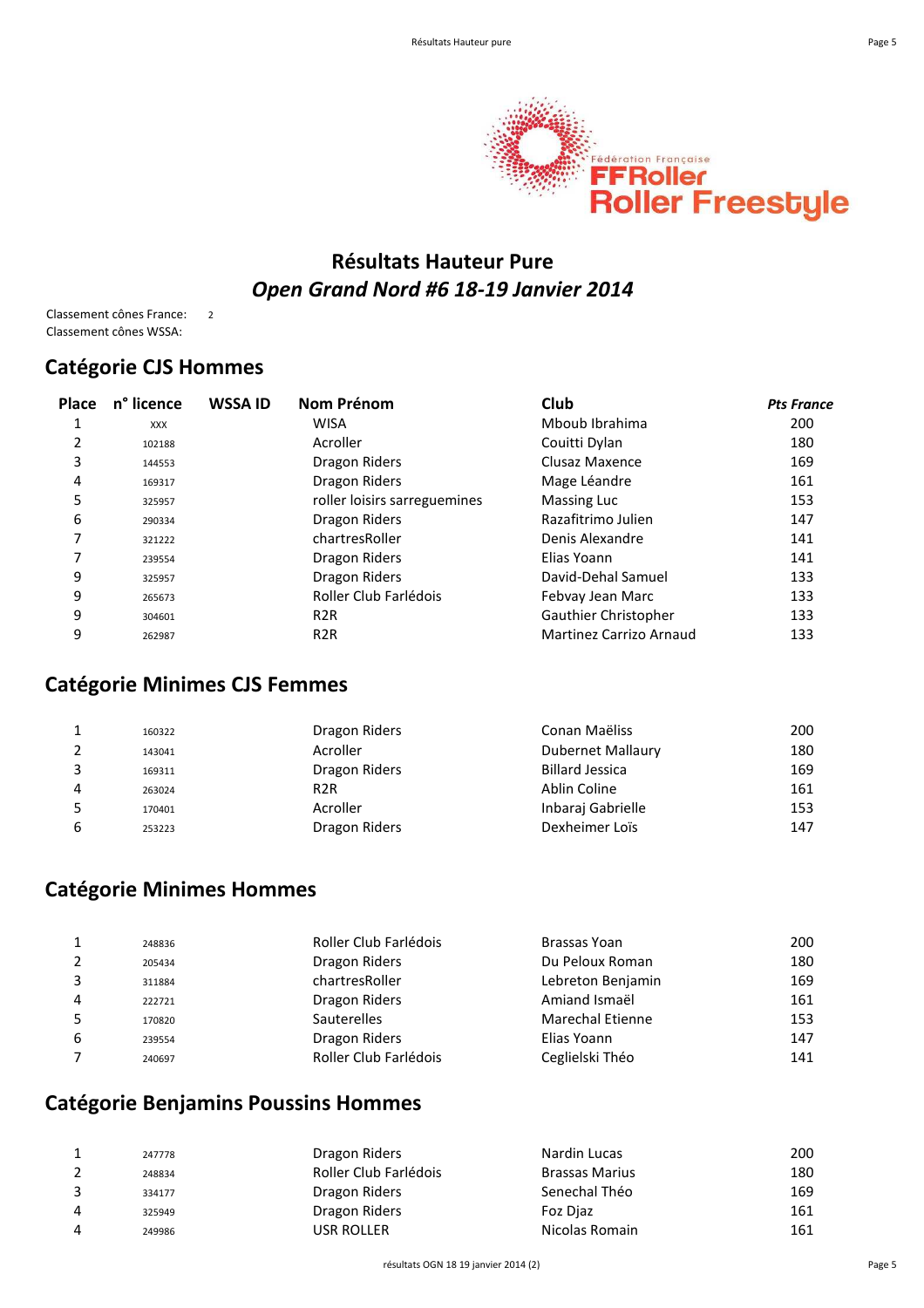

## **Résultats Hauteur Pure** *Open Grand Nord #6 18-19 Janvier 2014*

Classement cônes France: 2 Classement cônes WSSA:

#### **Catégorie CJS Hommes**

| Place | n <sup>°</sup> licence | <b>WSSA ID</b> | Nom Prénom                   | Club                    | <b>Pts France</b> |
|-------|------------------------|----------------|------------------------------|-------------------------|-------------------|
| 1     | <b>XXX</b>             |                | <b>WISA</b>                  | Mboub Ibrahima          | 200               |
| 2     | 102188                 |                | Acroller                     | Couitti Dylan           | 180               |
| 3     | 144553                 |                | Dragon Riders                | Clusaz Maxence          | 169               |
| 4     | 169317                 |                | Dragon Riders                | Mage Léandre            | 161               |
| 5     | 325957                 |                | roller loisirs sarreguemines | <b>Massing Luc</b>      | 153               |
| 6     | 290334                 |                | Dragon Riders                | Razafitrimo Julien      | 147               |
| 7     | 321222                 |                | chartresRoller               | Denis Alexandre         | 141               |
| 7     | 239554                 |                | Dragon Riders                | Elias Yoann             | 141               |
| 9     | 325957                 |                | Dragon Riders                | David-Dehal Samuel      | 133               |
| 9     | 265673                 |                | Roller Club Farlédois        | Febvay Jean Marc        | 133               |
| 9     | 304601                 |                | R <sub>2</sub> R             | Gauthier Christopher    | 133               |
| 9     | 262987                 |                | R <sub>2</sub> R             | Martinez Carrizo Arnaud | 133               |

#### **Catégorie Minimes CJS Femmes**

|    | 160322 | Dragon Riders    | Conan Maëliss          | 200 |
|----|--------|------------------|------------------------|-----|
|    | 143041 | Acroller         | Dubernet Mallaury      | 180 |
| s. | 169311 | Dragon Riders    | <b>Billard Jessica</b> | 169 |
| 4  | 263024 | R <sub>2</sub> R | Ablin Coline           | 161 |
| 5  | 170401 | Acroller         | Inbaraj Gabrielle      | 153 |
| 6  | 253223 | Dragon Riders    | Dexheimer Loïs         | 147 |

#### **Catégorie Minimes Hommes**

|   | 248836 | Roller Club Farlédois | Brassas Yoan            | 200 |
|---|--------|-----------------------|-------------------------|-----|
|   | 205434 | Dragon Riders         | Du Peloux Roman         | 180 |
|   | 311884 | chartresRoller        | Lebreton Benjamin       | 169 |
| 4 | 222721 | Dragon Riders         | Amiand Ismaël           | 161 |
|   | 170820 | <b>Sauterelles</b>    | <b>Marechal Etienne</b> | 153 |
| 6 | 239554 | Dragon Riders         | Elias Yoann             | 147 |
|   | 240697 | Roller Club Farlédois | Ceglielski Théo         | 141 |

## **Catégorie Benjamins Poussins Hommes**

| 247778 | Dragon Riders         | Nardin Lucas          | 200 |
|--------|-----------------------|-----------------------|-----|
| 248834 | Roller Club Farlédois | <b>Brassas Marius</b> | 180 |
| 334177 | Dragon Riders         | Senechal Théo         | 169 |
| 325949 | Dragon Riders         | Foz Diaz              | 161 |
| 249986 | USR ROLLER            | Nicolas Romain        | 161 |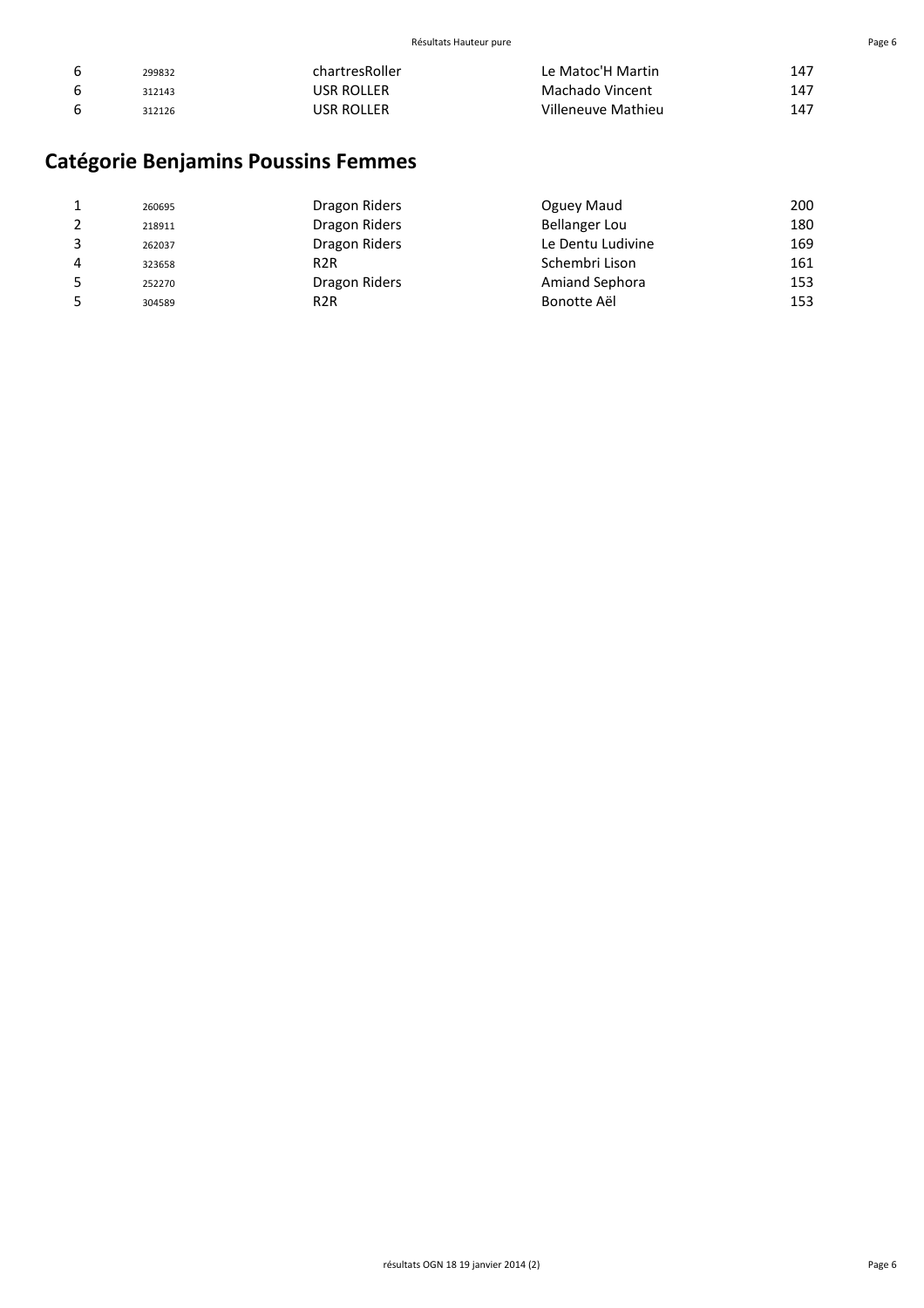| b | 299832 | chartresRoller | Le Matoc'H Martin  | 147 |
|---|--------|----------------|--------------------|-----|
| b | 312143 | USR ROLLER     | Machado Vincent    | 147 |
| b | 312126 | usr Roller     | Villeneuve Mathieu | 147 |

# **Catégorie Benjamins Poussins Femmes**

|   | 260695 | Dragon Riders    | Oguey Maud            | 200 |
|---|--------|------------------|-----------------------|-----|
|   | 218911 | Dragon Riders    | <b>Bellanger Lou</b>  | 180 |
|   | 262037 | Dragon Riders    | Le Dentu Ludivine     | 169 |
| 4 | 323658 | R <sub>2</sub> R | Schembri Lison        | 161 |
|   | 252270 | Dragon Riders    | <b>Amiand Sephora</b> | 153 |
|   | 304589 | R <sub>2</sub> R | Bonotte Aël           | 153 |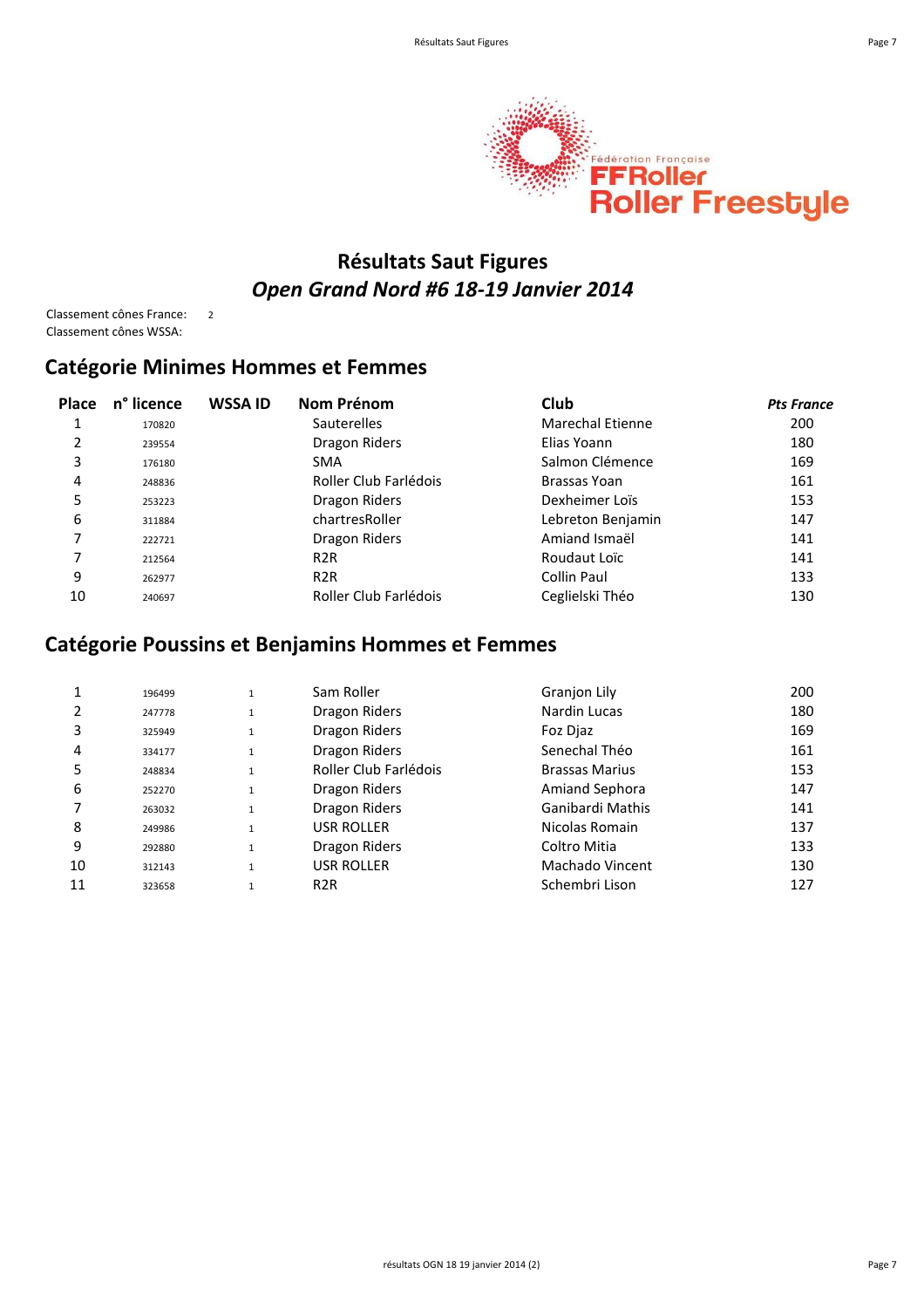



## **Résultats Saut Figures** *Open Grand Nord #6 18-19 Janvier 2014*

Classement cônes France: 2 Classement cônes WSSA:

#### **Catégorie Minimes Hommes et Femmes**

| <b>Place</b> | n <sup>°</sup> licence | <b>WSSA ID</b> | Nom Prénom            | Club                    | <b>Pts France</b> |
|--------------|------------------------|----------------|-----------------------|-------------------------|-------------------|
|              | 170820                 |                | <b>Sauterelles</b>    | <b>Marechal Etienne</b> | 200               |
| 2            | 239554                 |                | Dragon Riders         | Elias Yoann             | 180               |
| 3            | 176180                 |                | <b>SMA</b>            | Salmon Clémence         | 169               |
| 4            | 248836                 |                | Roller Club Farlédois | Brassas Yoan            | 161               |
| 5            | 253223                 |                | Dragon Riders         | Dexheimer Loïs          | 153               |
| 6            | 311884                 |                | chartresRoller        | Lebreton Benjamin       | 147               |
| 7            | 222721                 |                | Dragon Riders         | Amiand Ismaël           | 141               |
|              | 212564                 |                | R <sub>2</sub> R      | Roudaut Loïc            | 141               |
| 9            | 262977                 |                | R <sub>2</sub> R      | Collin Paul             | 133               |
| 10           | 240697                 |                | Roller Club Farlédois | Ceglielski Théo         | 130               |

## **Catégorie Poussins et Benjamins Hommes et Femmes**

|    | 196499 | 1            | Sam Roller            | Granjon Lily          | 200 |
|----|--------|--------------|-----------------------|-----------------------|-----|
|    | 247778 | $\mathbf 1$  | Dragon Riders         | Nardin Lucas          | 180 |
| 3  | 325949 | $\mathbf{1}$ | Dragon Riders         | Foz Diaz              | 169 |
| 4  | 334177 | $\mathbf{1}$ | Dragon Riders         | Senechal Théo         | 161 |
| 5  | 248834 | $\mathbf{1}$ | Roller Club Farlédois | <b>Brassas Marius</b> | 153 |
| 6  | 252270 | $\mathbf{1}$ | Dragon Riders         | <b>Amiand Sephora</b> | 147 |
|    | 263032 | $\mathbf{1}$ | Dragon Riders         | Ganibardi Mathis      | 141 |
| 8  | 249986 | $\mathbf{1}$ | USR ROLLER            | Nicolas Romain        | 137 |
| 9  | 292880 | $\mathbf{1}$ | Dragon Riders         | Coltro Mitia          | 133 |
| 10 | 312143 | $\mathbf{1}$ | USR ROLLER            | Machado Vincent       | 130 |
| 11 | 323658 | $\mathbf{1}$ | R <sub>2</sub> R      | Schembri Lison        | 127 |
|    |        |              |                       |                       |     |